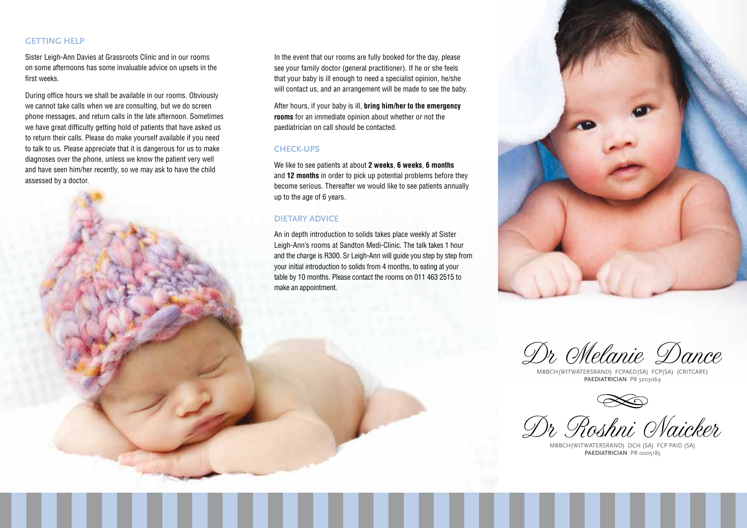## **Getting help**

Sister Leigh-Ann Davies at Grassroots Clinic and in our rooms on some afternoons has some invaluable advice on upsets in the first weeks.

During office hours we shall be available in our rooms. Obviously we cannot take calls when we are consulting, but we do screen phone messages, and return calls in the late afternoon. Sometimes we have great difficulty getting hold of patients that have asked us to return their calls. Please do make yourself available if you need to talk to us. Please appreciate that it is dangerous for us to make diagnoses over the phone, unless we know the patient very well and have seen him/her recently, so we may ask to have the child assessed by a doctor.



In the event that our rooms are fully booked for the day, please see your family doctor (general practitioner). If he or she feels that your baby is ill enough to need a specialist opinion, he/she will contact us, and an arrangement will be made to see the baby.

After hours, if your baby is ill, **bring him/her to the emergency rooms** for an immediate opinion about whether or not the paediatrician on call should be contacted.

#### **Check-ups**

We like to see patients at about **2 weeks**, **6 weeks**, **6 months** and **12 months** in order to pick up potential problems before they become serious. Thereafter we would like to see patients annually up to the age of 6 years.

### **Dietary advice**

An in depth introduction to solids takes place weekly at Sister Leigh-Ann's rooms at Sandton Medi-Clinic. The talk takes 1 hour and the charge is R300. Sr Leigh-Ann will guide you step by step from your initial introduction to solids from 4 months, to eating at your table by 10 months. Please contact the rooms on 011 463 2515 to make an appointment.



Dr Melanie Dance

MBBCh(Witwatersrand) FCPaed(SA) FCP(SA) (CritCare) **Paediatrician** PR 3203069

Dr Roshni Naicker

MBBCh(Witwatersrand) DCH (SA) FCP pAiD (SA) PAEDIATRICIAN PR 0005185